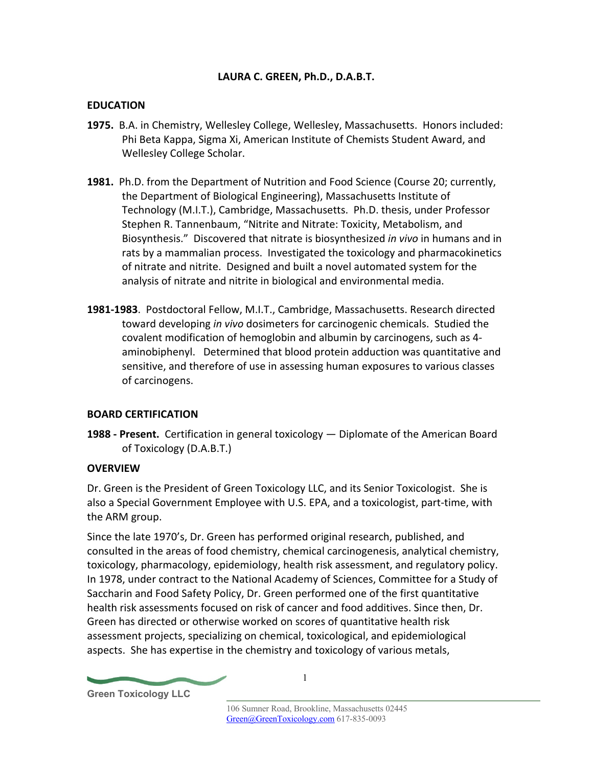## **LAURA C. GREEN, Ph.D., D.A.B.T.**

#### **EDUCATION**

- **1975.** B.A. in Chemistry, Wellesley College, Wellesley, Massachusetts. Honors included: Phi Beta Kappa, Sigma Xi, American Institute of Chemists Student Award, and Wellesley College Scholar.
- **1981.** Ph.D. from the Department of Nutrition and Food Science (Course 20; currently, the Department of Biological Engineering), Massachusetts Institute of Technology (M.I.T.), Cambridge, Massachusetts. Ph.D. thesis, under Professor Stephen R. Tannenbaum, "Nitrite and Nitrate: Toxicity, Metabolism, and Biosynthesis." Discovered that nitrate is biosynthesized *in vivo* in humans and in rats by a mammalian process. Investigated the toxicology and pharmacokinetics of nitrate and nitrite. Designed and built a novel automated system for the analysis of nitrate and nitrite in biological and environmental media.
- **1981-1983**. Postdoctoral Fellow, M.I.T., Cambridge, Massachusetts. Research directed toward developing *in vivo* dosimeters for carcinogenic chemicals. Studied the covalent modification of hemoglobin and albumin by carcinogens, such as 4 aminobiphenyl. Determined that blood protein adduction was quantitative and sensitive, and therefore of use in assessing human exposures to various classes of carcinogens.

## **BOARD CERTIFICATION**

**1988 - Present.** Certification in general toxicology — Diplomate of the American Board of Toxicology (D.A.B.T.)

## **OVERVIEW**

Dr. Green is the President of Green Toxicology LLC, and its Senior Toxicologist. She is also a Special Government Employee with U.S. EPA, and a toxicologist, part-time, with the ARM group.

Since the late 1970's, Dr. Green has performed original research, published, and consulted in the areas of food chemistry, chemical carcinogenesis, analytical chemistry, toxicology, pharmacology, epidemiology, health risk assessment, and regulatory policy. In 1978, under contract to the National Academy of Sciences, Committee for a Study of Saccharin and Food Safety Policy, Dr. Green performed one of the first quantitative health risk assessments focused on risk of cancer and food additives. Since then, Dr. Green has directed or otherwise worked on scores of quantitative health risk assessment projects, specializing on chemical, toxicological, and epidemiological aspects. She has expertise in the chemistry and toxicology of various metals,

1

**Green Toxicology LLC**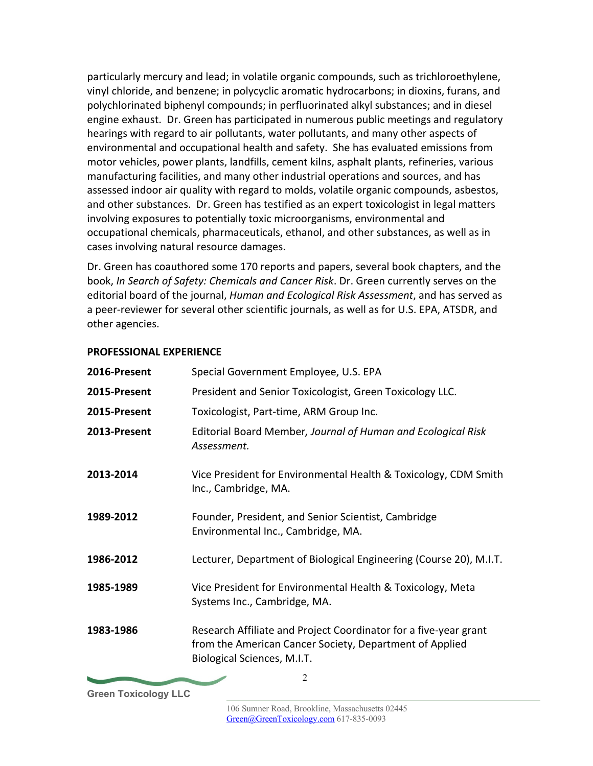particularly mercury and lead; in volatile organic compounds, such as trichloroethylene, vinyl chloride, and benzene; in polycyclic aromatic hydrocarbons; in dioxins, furans, and polychlorinated biphenyl compounds; in perfluorinated alkyl substances; and in diesel engine exhaust. Dr. Green has participated in numerous public meetings and regulatory hearings with regard to air pollutants, water pollutants, and many other aspects of environmental and occupational health and safety. She has evaluated emissions from motor vehicles, power plants, landfills, cement kilns, asphalt plants, refineries, various manufacturing facilities, and many other industrial operations and sources, and has assessed indoor air quality with regard to molds, volatile organic compounds, asbestos, and other substances. Dr. Green has testified as an expert toxicologist in legal matters involving exposures to potentially toxic microorganisms, environmental and occupational chemicals, pharmaceuticals, ethanol, and other substances, as well as in cases involving natural resource damages.

Dr. Green has coauthored some 170 reports and papers, several book chapters, and the book, *In Search of Safety: Chemicals and Cancer Risk*. Dr. Green currently serves on the editorial board of the journal, *Human and Ecological Risk Assessment*, and has served as a peer-reviewer for several other scientific journals, as well as for U.S. EPA, ATSDR, and other agencies.

## **PROFESSIONAL EXPERIENCE**

| 2016-Present | Special Government Employee, U.S. EPA                                                                                                                      |
|--------------|------------------------------------------------------------------------------------------------------------------------------------------------------------|
| 2015-Present | President and Senior Toxicologist, Green Toxicology LLC.                                                                                                   |
| 2015-Present | Toxicologist, Part-time, ARM Group Inc.                                                                                                                    |
| 2013-Present | Editorial Board Member, Journal of Human and Ecological Risk<br>Assessment.                                                                                |
| 2013-2014    | Vice President for Environmental Health & Toxicology, CDM Smith<br>Inc., Cambridge, MA.                                                                    |
| 1989-2012    | Founder, President, and Senior Scientist, Cambridge<br>Environmental Inc., Cambridge, MA.                                                                  |
| 1986-2012    | Lecturer, Department of Biological Engineering (Course 20), M.I.T.                                                                                         |
| 1985-1989    | Vice President for Environmental Health & Toxicology, Meta<br>Systems Inc., Cambridge, MA.                                                                 |
| 1983-1986    | Research Affiliate and Project Coordinator for a five-year grant<br>from the American Cancer Society, Department of Applied<br>Biological Sciences, M.I.T. |
|              | 2                                                                                                                                                          |

**Green Toxicology LLC**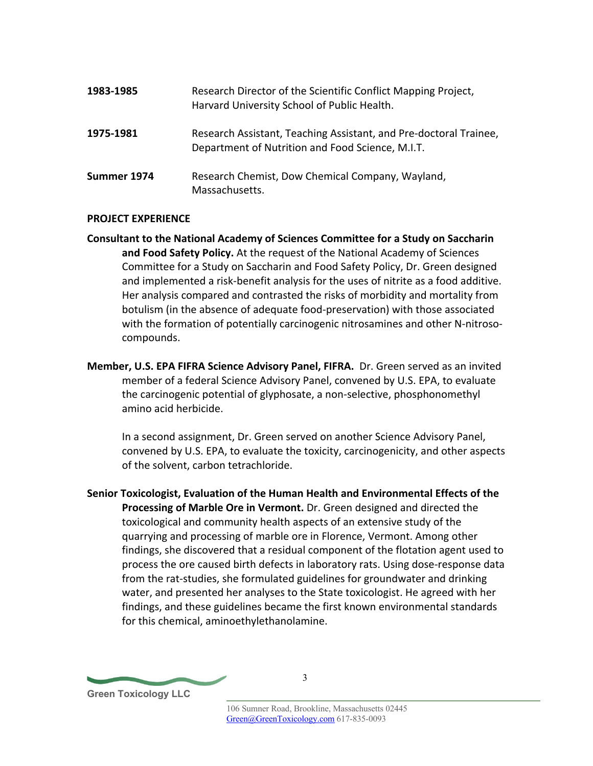| 1983-1985   | Research Director of the Scientific Conflict Mapping Project,<br>Harvard University School of Public Health.          |
|-------------|-----------------------------------------------------------------------------------------------------------------------|
| 1975-1981   | Research Assistant, Teaching Assistant, and Pre-doctoral Trainee,<br>Department of Nutrition and Food Science, M.I.T. |
| Summer 1974 | Research Chemist, Dow Chemical Company, Wayland,<br>Massachusetts.                                                    |

#### **PROJECT EXPERIENCE**

- **Consultant to the National Academy of Sciences Committee for a Study on Saccharin and Food Safety Policy.** At the request of the National Academy of Sciences Committee for a Study on Saccharin and Food Safety Policy, Dr. Green designed and implemented a risk-benefit analysis for the uses of nitrite as a food additive. Her analysis compared and contrasted the risks of morbidity and mortality from botulism (in the absence of adequate food-preservation) with those associated with the formation of potentially carcinogenic nitrosamines and other N-nitrosocompounds.
- **Member, U.S. EPA FIFRA Science Advisory Panel, FIFRA.** Dr. Green served as an invited member of a federal Science Advisory Panel, convened by U.S. EPA, to evaluate the carcinogenic potential of glyphosate, a non-selective, phosphonomethyl amino acid herbicide.

In a second assignment, Dr. Green served on another Science Advisory Panel, convened by U.S. EPA, to evaluate the toxicity, carcinogenicity, and other aspects of the solvent, carbon tetrachloride.

**Senior Toxicologist, Evaluation of the Human Health and Environmental Effects of the Processing of Marble Ore in Vermont.** Dr. Green designed and directed the toxicological and community health aspects of an extensive study of the quarrying and processing of marble ore in Florence, Vermont. Among other findings, she discovered that a residual component of the flotation agent used to process the ore caused birth defects in laboratory rats. Using dose-response data from the rat-studies, she formulated guidelines for groundwater and drinking water, and presented her analyses to the State toxicologist. He agreed with her findings, and these guidelines became the first known environmental standards for this chemical, aminoethylethanolamine.

**Green Toxicology LLC**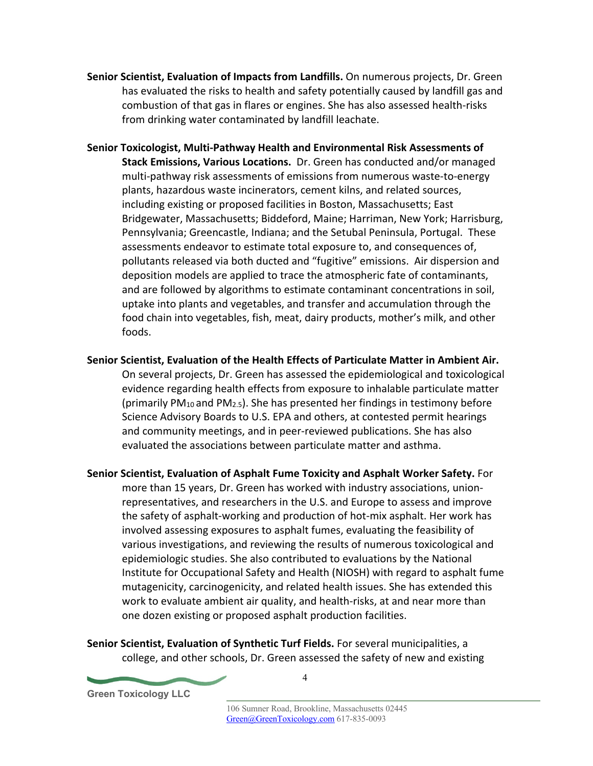- **Senior Scientist, Evaluation of Impacts from Landfills.** On numerous projects, Dr. Green has evaluated the risks to health and safety potentially caused by landfill gas and combustion of that gas in flares or engines. She has also assessed health-risks from drinking water contaminated by landfill leachate.
- **Senior Toxicologist, Multi-Pathway Health and Environmental Risk Assessments of Stack Emissions, Various Locations.** Dr. Green has conducted and/or managed multi-pathway risk assessments of emissions from numerous waste-to-energy plants, hazardous waste incinerators, cement kilns, and related sources, including existing or proposed facilities in Boston, Massachusetts; East Bridgewater, Massachusetts; Biddeford, Maine; Harriman, New York; Harrisburg, Pennsylvania; Greencastle, Indiana; and the Setubal Peninsula, Portugal. These assessments endeavor to estimate total exposure to, and consequences of, pollutants released via both ducted and "fugitive" emissions. Air dispersion and deposition models are applied to trace the atmospheric fate of contaminants, and are followed by algorithms to estimate contaminant concentrations in soil, uptake into plants and vegetables, and transfer and accumulation through the food chain into vegetables, fish, meat, dairy products, mother's milk, and other foods.
- **Senior Scientist, Evaluation of the Health Effects of Particulate Matter in Ambient Air.**  On several projects, Dr. Green has assessed the epidemiological and toxicological evidence regarding health effects from exposure to inhalable particulate matter (primarily  $PM_{10}$  and  $PM_{2.5}$ ). She has presented her findings in testimony before Science Advisory Boards to U.S. EPA and others, at contested permit hearings and community meetings, and in peer-reviewed publications. She has also evaluated the associations between particulate matter and asthma.
- **Senior Scientist, Evaluation of Asphalt Fume Toxicity and Asphalt Worker Safety.** For more than 15 years, Dr. Green has worked with industry associations, unionrepresentatives, and researchers in the U.S. and Europe to assess and improve the safety of asphalt-working and production of hot-mix asphalt. Her work has involved assessing exposures to asphalt fumes, evaluating the feasibility of various investigations, and reviewing the results of numerous toxicological and epidemiologic studies. She also contributed to evaluations by the National Institute for Occupational Safety and Health (NIOSH) with regard to asphalt fume mutagenicity, carcinogenicity, and related health issues. She has extended this work to evaluate ambient air quality, and health-risks, at and near more than one dozen existing or proposed asphalt production facilities.

**Senior Scientist, Evaluation of Synthetic Turf Fields.** For several municipalities, a college, and other schools, Dr. Green assessed the safety of new and existing

**Green Toxicology LLC**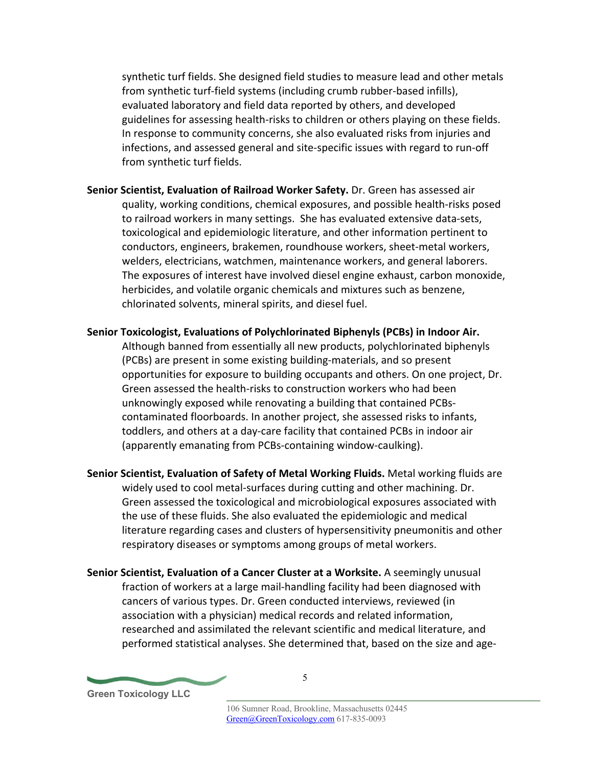synthetic turf fields. She designed field studies to measure lead and other metals from synthetic turf-field systems (including crumb rubber-based infills), evaluated laboratory and field data reported by others, and developed guidelines for assessing health-risks to children or others playing on these fields. In response to community concerns, she also evaluated risks from injuries and infections, and assessed general and site-specific issues with regard to run-off from synthetic turf fields.

- **Senior Scientist, Evaluation of Railroad Worker Safety.** Dr. Green has assessed air quality, working conditions, chemical exposures, and possible health-risks posed to railroad workers in many settings. She has evaluated extensive data-sets, toxicological and epidemiologic literature, and other information pertinent to conductors, engineers, brakemen, roundhouse workers, sheet-metal workers, welders, electricians, watchmen, maintenance workers, and general laborers. The exposures of interest have involved diesel engine exhaust, carbon monoxide, herbicides, and volatile organic chemicals and mixtures such as benzene, chlorinated solvents, mineral spirits, and diesel fuel.
- **Senior Toxicologist, Evaluations of Polychlorinated Biphenyls (PCBs) in Indoor Air.**  Although banned from essentially all new products, polychlorinated biphenyls (PCBs) are present in some existing building-materials, and so present opportunities for exposure to building occupants and others. On one project, Dr. Green assessed the health-risks to construction workers who had been unknowingly exposed while renovating a building that contained PCBscontaminated floorboards. In another project, she assessed risks to infants, toddlers, and others at a day-care facility that contained PCBs in indoor air (apparently emanating from PCBs-containing window-caulking).
- **Senior Scientist, Evaluation of Safety of Metal Working Fluids.** Metal working fluids are widely used to cool metal-surfaces during cutting and other machining. Dr. Green assessed the toxicological and microbiological exposures associated with the use of these fluids. She also evaluated the epidemiologic and medical literature regarding cases and clusters of hypersensitivity pneumonitis and other respiratory diseases or symptoms among groups of metal workers.
- **Senior Scientist, Evaluation of a Cancer Cluster at a Worksite.** A seemingly unusual fraction of workers at a large mail-handling facility had been diagnosed with cancers of various types. Dr. Green conducted interviews, reviewed (in association with a physician) medical records and related information, researched and assimilated the relevant scientific and medical literature, and performed statistical analyses. She determined that, based on the size and age-

**Green Toxicology LLC**

5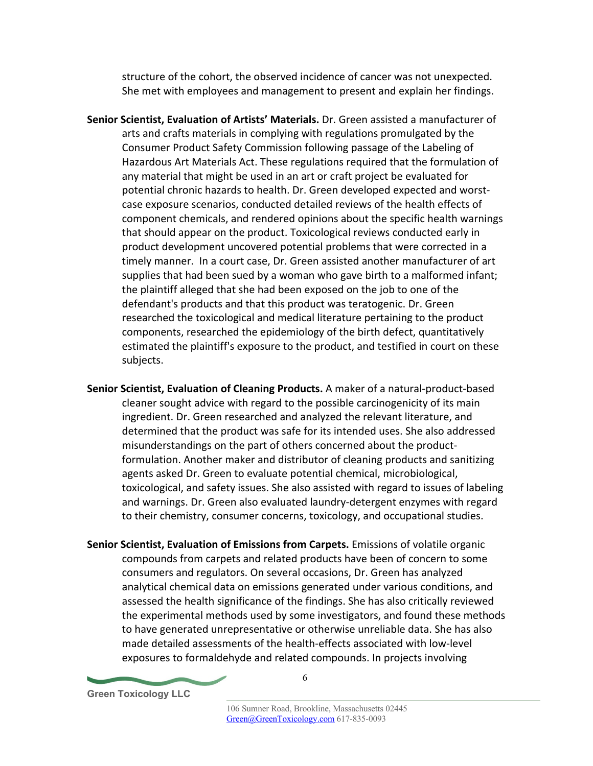structure of the cohort, the observed incidence of cancer was not unexpected. She met with employees and management to present and explain her findings.

- **Senior Scientist, Evaluation of Artists' Materials.** Dr. Green assisted a manufacturer of arts and crafts materials in complying with regulations promulgated by the Consumer Product Safety Commission following passage of the Labeling of Hazardous Art Materials Act. These regulations required that the formulation of any material that might be used in an art or craft project be evaluated for potential chronic hazards to health. Dr. Green developed expected and worstcase exposure scenarios, conducted detailed reviews of the health effects of component chemicals, and rendered opinions about the specific health warnings that should appear on the product. Toxicological reviews conducted early in product development uncovered potential problems that were corrected in a timely manner. In a court case, Dr. Green assisted another manufacturer of art supplies that had been sued by a woman who gave birth to a malformed infant; the plaintiff alleged that she had been exposed on the job to one of the defendant's products and that this product was teratogenic. Dr. Green researched the toxicological and medical literature pertaining to the product components, researched the epidemiology of the birth defect, quantitatively estimated the plaintiff's exposure to the product, and testified in court on these subjects.
- **Senior Scientist, Evaluation of Cleaning Products.** A maker of a natural-product-based cleaner sought advice with regard to the possible carcinogenicity of its main ingredient. Dr. Green researched and analyzed the relevant literature, and determined that the product was safe for its intended uses. She also addressed misunderstandings on the part of others concerned about the productformulation. Another maker and distributor of cleaning products and sanitizing agents asked Dr. Green to evaluate potential chemical, microbiological, toxicological, and safety issues. She also assisted with regard to issues of labeling and warnings. Dr. Green also evaluated laundry-detergent enzymes with regard to their chemistry, consumer concerns, toxicology, and occupational studies.
- **Senior Scientist, Evaluation of Emissions from Carpets.** Emissions of volatile organic compounds from carpets and related products have been of concern to some consumers and regulators. On several occasions, Dr. Green has analyzed analytical chemical data on emissions generated under various conditions, and assessed the health significance of the findings. She has also critically reviewed the experimental methods used by some investigators, and found these methods to have generated unrepresentative or otherwise unreliable data. She has also made detailed assessments of the health-effects associated with low-level exposures to formaldehyde and related compounds. In projects involving

**Green Toxicology LLC**

6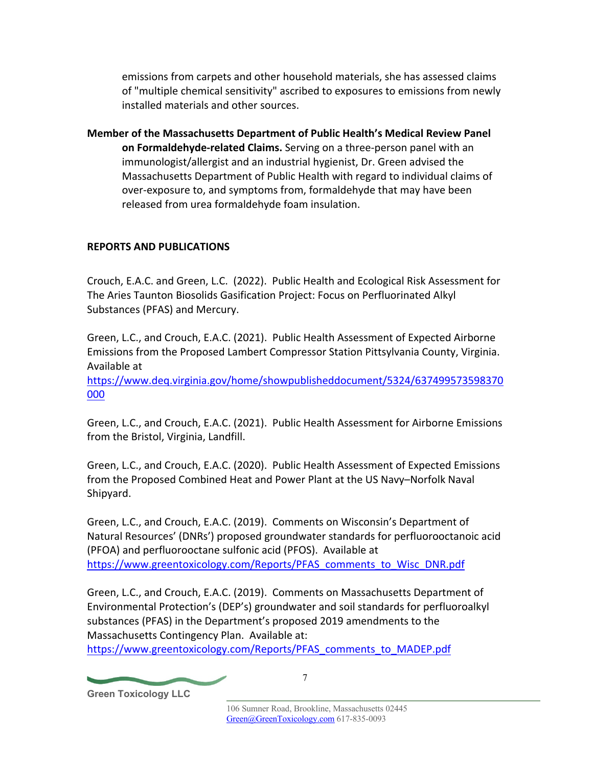emissions from carpets and other household materials, she has assessed claims of "multiple chemical sensitivity" ascribed to exposures to emissions from newly installed materials and other sources.

**Member of the Massachusetts Department of Public Health's Medical Review Panel on Formaldehyde-related Claims.** Serving on a three-person panel with an immunologist/allergist and an industrial hygienist, Dr. Green advised the Massachusetts Department of Public Health with regard to individual claims of over-exposure to, and symptoms from, formaldehyde that may have been released from urea formaldehyde foam insulation.

# **REPORTS AND PUBLICATIONS**

Crouch, E.A.C. and Green, L.C. (2022). Public Health and Ecological Risk Assessment for The Aries Taunton Biosolids Gasification Project: Focus on Perfluorinated Alkyl Substances (PFAS) and Mercury.

Green, L.C., and Crouch, E.A.C. (2021). Public Health Assessment of Expected Airborne Emissions from the Proposed Lambert Compressor Station Pittsylvania County, Virginia. Available at

https://www.deq.virginia.gov/home/showpublisheddocument/5324/637499573598370 000

Green, L.C., and Crouch, E.A.C. (2021). Public Health Assessment for Airborne Emissions from the Bristol, Virginia, Landfill.

Green, L.C., and Crouch, E.A.C. (2020). Public Health Assessment of Expected Emissions from the Proposed Combined Heat and Power Plant at the US Navy–Norfolk Naval Shipyard.

Green, L.C., and Crouch, E.A.C. (2019). Comments on Wisconsin's Department of Natural Resources' (DNRs') proposed groundwater standards for perfluorooctanoic acid (PFOA) and perfluorooctane sulfonic acid (PFOS). Available at https://www.greentoxicology.com/Reports/PFAS\_comments\_to\_Wisc\_DNR.pdf

Green, L.C., and Crouch, E.A.C. (2019). Comments on Massachusetts Department of Environmental Protection's (DEP's) groundwater and soil standards for perfluoroalkyl substances (PFAS) in the Department's proposed 2019 amendments to the Massachusetts Contingency Plan. Available at:

https://www.greentoxicology.com/Reports/PFAS\_comments\_to\_MADEP.pdf

**Green Toxicology LLC**

7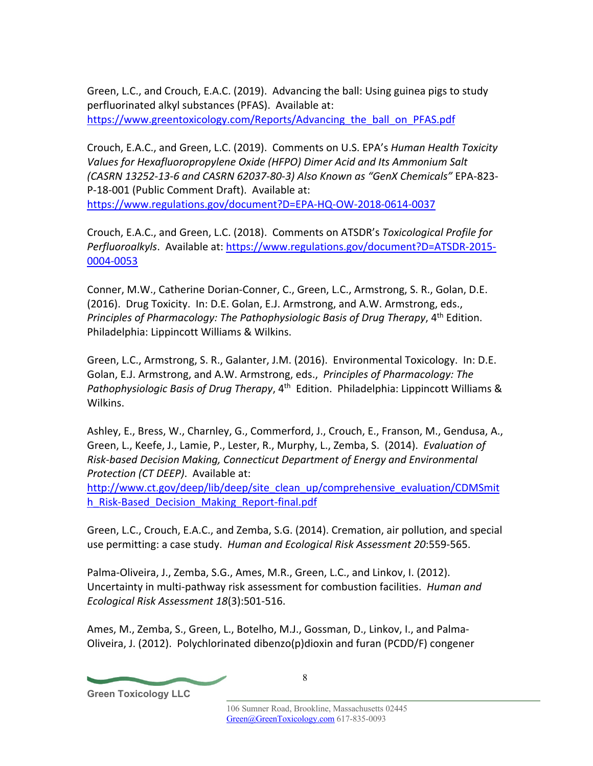Green, L.C., and Crouch, E.A.C. (2019). Advancing the ball: Using guinea pigs to study perfluorinated alkyl substances (PFAS). Available at: https://www.greentoxicology.com/Reports/Advancing\_the\_ball\_on\_PFAS.pdf

Crouch, E.A.C., and Green, L.C. (2019). Comments on U.S. EPA's *Human Health Toxicity Values for Hexafluoropropylene Oxide (HFPO) Dimer Acid and Its Ammonium Salt (CASRN 13252-13-6 and CASRN 62037-80-3) Also Known as "GenX Chemicals"* EPA-823- P-18-001 (Public Comment Draft). Available at: https://www.regulations.gov/document?D=EPA-HQ-OW-2018-0614-0037

Crouch, E.A.C., and Green, L.C. (2018). Comments on ATSDR's *Toxicological Profile for Perfluoroalkyls*. Available at: https://www.regulations.gov/document?D=ATSDR-2015- 0004-0053

Conner, M.W., Catherine Dorian-Conner, C., Green, L.C., Armstrong, S. R., Golan, D.E. (2016). Drug Toxicity. In: D.E. Golan, E.J. Armstrong, and A.W. Armstrong, eds., *Principles of Pharmacology: The Pathophysiologic Basis of Drug Therapy,* 4<sup>th</sup> Edition. Philadelphia: Lippincott Williams & Wilkins.

Green, L.C., Armstrong, S. R., Galanter, J.M. (2016). Environmental Toxicology. In: D.E. Golan, E.J. Armstrong, and A.W. Armstrong, eds., *Principles of Pharmacology: The*  Pathophysiologic Basis of Drug Therapy, 4<sup>th</sup> Edition. Philadelphia: Lippincott Williams & Wilkins.

Ashley, E., Bress, W., Charnley, G., Commerford, J., Crouch, E., Franson, M., Gendusa, A., Green, L., Keefe, J., Lamie, P., Lester, R., Murphy, L., Zemba, S. (2014). *Evaluation of Risk-based Decision Making, Connecticut Department of Energy and Environmental Protection (CT DEEP)*. Available at:

http://www.ct.gov/deep/lib/deep/site\_clean\_up/comprehensive\_evaluation/CDMSmit h Risk-Based Decision Making Report-final.pdf

Green, L.C., Crouch, E.A.C., and Zemba, S.G. (2014). Cremation, air pollution, and special use permitting: a case study. *Human and Ecological Risk Assessment 20*:559-565.

Palma-Oliveira, J., Zemba, S.G., Ames, M.R., Green, L.C., and Linkov, I. (2012). Uncertainty in multi-pathway risk assessment for combustion facilities. *Human and Ecological Risk Assessment 18*(3):501-516.

Ames, M., Zemba, S., Green, L., Botelho, M.J., Gossman, D., Linkov, I., and Palma-Oliveira, J. (2012). Polychlorinated dibenzo(p)dioxin and furan (PCDD/F) congener

**Green Toxicology LLC**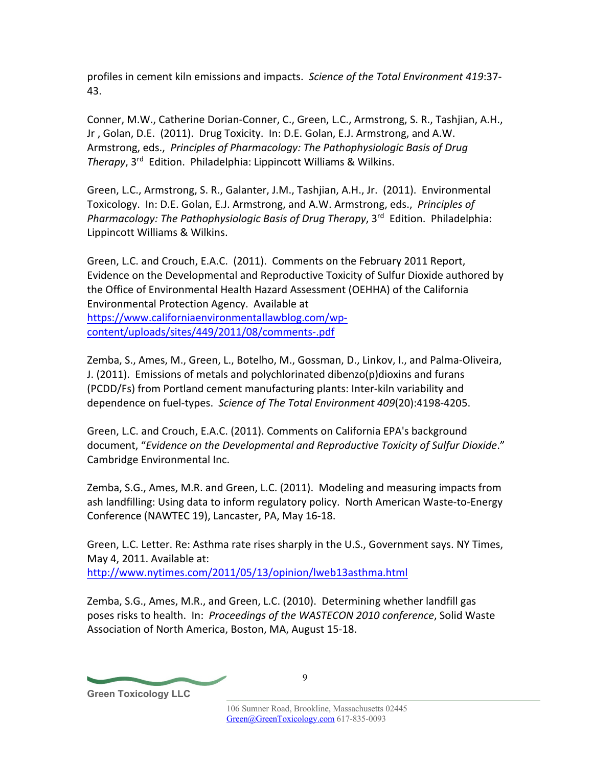profiles in cement kiln emissions and impacts. *Science of the Total Environment 419*:37- 43.

Conner, M.W., Catherine Dorian-Conner, C., Green, L.C., Armstrong, S. R., Tashjian, A.H., Jr , Golan, D.E. (2011). Drug Toxicity. In: D.E. Golan, E.J. Armstrong, and A.W. Armstrong, eds., *Principles of Pharmacology: The Pathophysiologic Basis of Drug Therapy*, 3rd Edition. Philadelphia: Lippincott Williams & Wilkins.

Green, L.C., Armstrong, S. R., Galanter, J.M., Tashjian, A.H., Jr. (2011). Environmental Toxicology. In: D.E. Golan, E.J. Armstrong, and A.W. Armstrong, eds., *Principles of Pharmacology: The Pathophysiologic Basis of Drug Therapy, 3<sup>rd</sup> Edition. Philadelphia:* Lippincott Williams & Wilkins.

Green, L.C. and Crouch, E.A.C. (2011). Comments on the February 2011 Report, Evidence on the Developmental and Reproductive Toxicity of Sulfur Dioxide authored by the Office of Environmental Health Hazard Assessment (OEHHA) of the California Environmental Protection Agency. Available at https://www.californiaenvironmentallawblog.com/wpcontent/uploads/sites/449/2011/08/comments-.pdf

Zemba, S., Ames, M., Green, L., Botelho, M., Gossman, D., Linkov, I., and Palma-Oliveira, J. (2011). Emissions of metals and polychlorinated dibenzo(p)dioxins and furans (PCDD/Fs) from Portland cement manufacturing plants: Inter-kiln variability and dependence on fuel-types. *Science of The Total Environment 409*(20):4198-4205.

Green, L.C. and Crouch, E.A.C. (2011). Comments on California EPA's background document, "*Evidence on the Developmental and Reproductive Toxicity of Sulfur Dioxide*." Cambridge Environmental Inc.

Zemba, S.G., Ames, M.R. and Green, L.C. (2011). Modeling and measuring impacts from ash landfilling: Using data to inform regulatory policy. North American Waste-to-Energy Conference (NAWTEC 19), Lancaster, PA, May 16-18.

Green, L.C. Letter. Re: Asthma rate rises sharply in the U.S., Government says. NY Times, May 4, 2011. Available at: http://www.nytimes.com/2011/05/13/opinion/lweb13asthma.html

Zemba, S.G., Ames, M.R., and Green, L.C. (2010). Determining whether landfill gas poses risks to health. In: *Proceedings of the WASTECON 2010 conference*, Solid Waste Association of North America, Boston, MA, August 15-18.

**Green Toxicology LLC**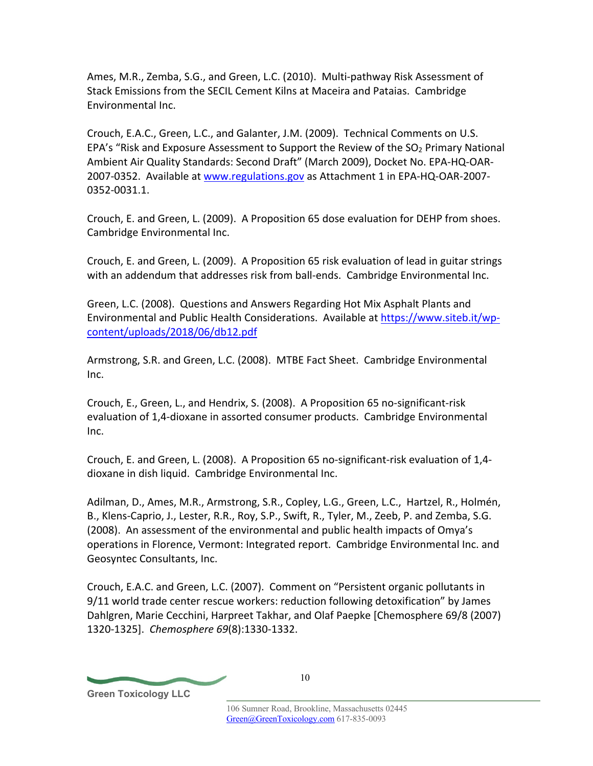Ames, M.R., Zemba, S.G., and Green, L.C. (2010). Multi-pathway Risk Assessment of Stack Emissions from the SECIL Cement Kilns at Maceira and Pataias. Cambridge Environmental Inc.

Crouch, E.A.C., Green, L.C., and Galanter, J.M. (2009). Technical Comments on U.S. EPA's "Risk and Exposure Assessment to Support the Review of the SO2 Primary National Ambient Air Quality Standards: Second Draft" (March 2009), Docket No. EPA-HQ-OAR-2007-0352. Available at www.regulations.gov as Attachment 1 in EPA-HQ-OAR-2007- 0352-0031.1.

Crouch, E. and Green, L. (2009). A Proposition 65 dose evaluation for DEHP from shoes. Cambridge Environmental Inc.

Crouch, E. and Green, L. (2009). A Proposition 65 risk evaluation of lead in guitar strings with an addendum that addresses risk from ball-ends. Cambridge Environmental Inc.

Green, L.C. (2008). Questions and Answers Regarding Hot Mix Asphalt Plants and Environmental and Public Health Considerations. Available at https://www.siteb.it/wpcontent/uploads/2018/06/db12.pdf

Armstrong, S.R. and Green, L.C. (2008). MTBE Fact Sheet. Cambridge Environmental Inc.

Crouch, E., Green, L., and Hendrix, S. (2008). A Proposition 65 no-significant-risk evaluation of 1,4-dioxane in assorted consumer products. Cambridge Environmental Inc.

Crouch, E. and Green, L. (2008). A Proposition 65 no-significant-risk evaluation of 1,4 dioxane in dish liquid. Cambridge Environmental Inc.

Adilman, D., Ames, M.R., Armstrong, S.R., Copley, L.G., Green, L.C., Hartzel, R., Holmén, B., Klens-Caprio, J., Lester, R.R., Roy, S.P., Swift, R., Tyler, M., Zeeb, P. and Zemba, S.G. (2008). An assessment of the environmental and public health impacts of Omya's operations in Florence, Vermont: Integrated report. Cambridge Environmental Inc. and Geosyntec Consultants, Inc.

Crouch, E.A.C. and Green, L.C. (2007). Comment on "Persistent organic pollutants in 9/11 world trade center rescue workers: reduction following detoxification" by James Dahlgren, Marie Cecchini, Harpreet Takhar, and Olaf Paepke [Chemosphere 69/8 (2007) 1320-1325]. *Chemosphere 69*(8):1330-1332.

**Green Toxicology LLC**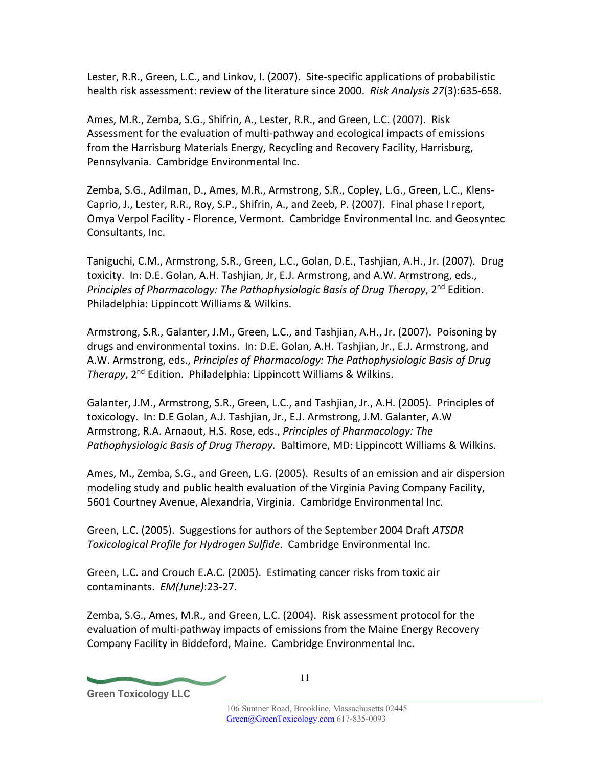Lester, R.R., Green, L.C., and Linkov, I. (2007). Site-specific applications of probabilistic health risk assessment: review of the literature since 2000. *Risk Analysis 27*(3):635-658.

Ames, M.R., Zemba, S.G., Shifrin, A., Lester, R.R., and Green, L.C. (2007). Risk Assessment for the evaluation of multi-pathway and ecological impacts of emissions from the Harrisburg Materials Energy, Recycling and Recovery Facility, Harrisburg, Pennsylvania. Cambridge Environmental Inc.

Zemba, S.G., Adilman, D., Ames, M.R., Armstrong, S.R., Copley, L.G., Green, L.C., Klens-Caprio, J., Lester, R.R., Roy, S.P., Shifrin, A., and Zeeb, P. (2007). Final phase I report, Omya Verpol Facility - Florence, Vermont. Cambridge Environmental Inc. and Geosyntec Consultants, Inc.

Taniguchi, C.M., Armstrong, S.R., Green, L.C., Golan, D.E., Tashjian, A.H., Jr. (2007). Drug toxicity. In: D.E. Golan, A.H. Tashjian, Jr, E.J. Armstrong, and A.W. Armstrong, eds., *Principles of Pharmacology: The Pathophysiologic Basis of Drug Therapy*, 2nd Edition. Philadelphia: Lippincott Williams & Wilkins.

Armstrong, S.R., Galanter, J.M., Green, L.C., and Tashjian, A.H., Jr. (2007). Poisoning by drugs and environmental toxins. In: D.E. Golan, A.H. Tashjian, Jr., E.J. Armstrong, and A.W. Armstrong, eds., *Principles of Pharmacology: The Pathophysiologic Basis of Drug Therapy*, 2nd Edition. Philadelphia: Lippincott Williams & Wilkins.

Galanter, J.M., Armstrong, S.R., Green, L.C., and Tashjian, Jr., A.H. (2005). Principles of toxicology. In: D.E Golan, A.J. Tashjian, Jr., E.J. Armstrong, J.M. Galanter, A.W Armstrong, R.A. Arnaout, H.S. Rose, eds., *Principles of Pharmacology: The Pathophysiologic Basis of Drug Therapy.* Baltimore, MD: Lippincott Williams & Wilkins.

Ames, M., Zemba, S.G., and Green, L.G. (2005). Results of an emission and air dispersion modeling study and public health evaluation of the Virginia Paving Company Facility, 5601 Courtney Avenue, Alexandria, Virginia. Cambridge Environmental Inc.

Green, L.C. (2005). Suggestions for authors of the September 2004 Draft *ATSDR Toxicological Profile for Hydrogen Sulfide*. Cambridge Environmental Inc.

Green, L.C. and Crouch E.A.C. (2005). Estimating cancer risks from toxic air contaminants. *EM(June)*:23-27.

Zemba, S.G., Ames, M.R., and Green, L.C. (2004). Risk assessment protocol for the evaluation of multi-pathway impacts of emissions from the Maine Energy Recovery Company Facility in Biddeford, Maine. Cambridge Environmental Inc.

**Green Toxicology LLC**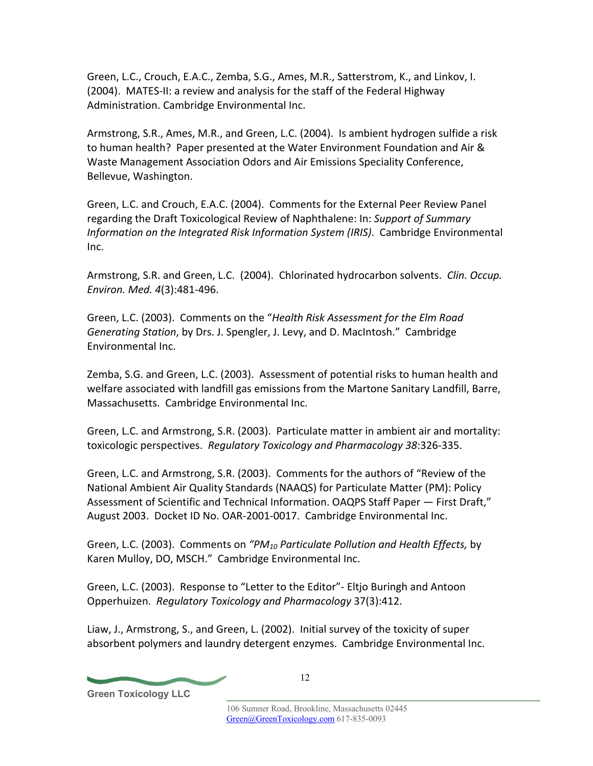Green, L.C., Crouch, E.A.C., Zemba, S.G., Ames, M.R., Satterstrom, K., and Linkov, I. (2004). MATES-II: a review and analysis for the staff of the Federal Highway Administration. Cambridge Environmental Inc.

Armstrong, S.R., Ames, M.R., and Green, L.C. (2004). Is ambient hydrogen sulfide a risk to human health? Paper presented at the Water Environment Foundation and Air & Waste Management Association Odors and Air Emissions Speciality Conference, Bellevue, Washington.

Green, L.C. and Crouch, E.A.C. (2004). Comments for the External Peer Review Panel regarding the Draft Toxicological Review of Naphthalene: In: *Support of Summary Information on the Integrated Risk Information System (IRIS)*. Cambridge Environmental Inc.

Armstrong, S.R. and Green, L.C. (2004). Chlorinated hydrocarbon solvents. *Clin. Occup. Environ. Med. 4*(3):481-496.

Green, L.C. (2003). Comments on the "*Health Risk Assessment for the Elm Road Generating Station*, by Drs. J. Spengler, J. Levy, and D. MacIntosh." Cambridge Environmental Inc.

Zemba, S.G. and Green, L.C. (2003). Assessment of potential risks to human health and welfare associated with landfill gas emissions from the Martone Sanitary Landfill, Barre, Massachusetts. Cambridge Environmental Inc.

Green, L.C. and Armstrong, S.R. (2003). Particulate matter in ambient air and mortality: toxicologic perspectives. *Regulatory Toxicology and Pharmacology 38*:326-335.

Green, L.C. and Armstrong, S.R. (2003). Comments for the authors of "Review of the National Ambient Air Quality Standards (NAAQS) for Particulate Matter (PM): Policy Assessment of Scientific and Technical Information. OAQPS Staff Paper — First Draft," August 2003. Docket ID No. OAR-2001-0017. Cambridge Environmental Inc.

Green, L.C. (2003). Comments on *"PM10 Particulate Pollution and Health Effects,* by Karen Mulloy, DO, MSCH." Cambridge Environmental Inc.

Green, L.C. (2003). Response to "Letter to the Editor"- Eltjo Buringh and Antoon Opperhuizen. *Regulatory Toxicology and Pharmacology* 37(3):412.

Liaw, J., Armstrong, S., and Green, L. (2002). Initial survey of the toxicity of super absorbent polymers and laundry detergent enzymes. Cambridge Environmental Inc.

**Green Toxicology LLC**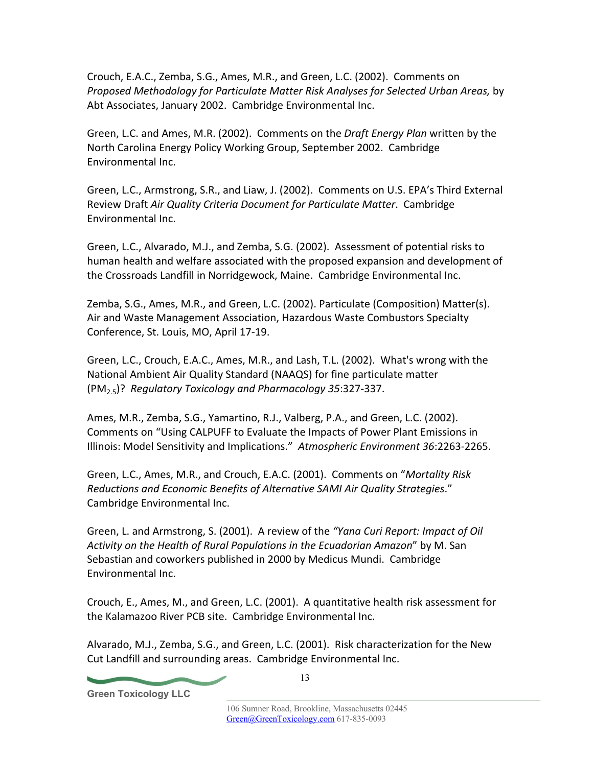Crouch, E.A.C., Zemba, S.G., Ames, M.R., and Green, L.C. (2002). Comments on *Proposed Methodology for Particulate Matter Risk Analyses for Selected Urban Areas,* by Abt Associates, January 2002. Cambridge Environmental Inc.

Green, L.C. and Ames, M.R. (2002). Comments on the *Draft Energy Plan* written by the North Carolina Energy Policy Working Group, September 2002. Cambridge Environmental Inc.

Green, L.C., Armstrong, S.R., and Liaw, J. (2002). Comments on U.S. EPA's Third External Review Draft *Air Quality Criteria Document for Particulate Matter*. Cambridge Environmental Inc.

Green, L.C., Alvarado, M.J., and Zemba, S.G. (2002). Assessment of potential risks to human health and welfare associated with the proposed expansion and development of the Crossroads Landfill in Norridgewock, Maine. Cambridge Environmental Inc.

Zemba, S.G., Ames, M.R., and Green, L.C. (2002). Particulate (Composition) Matter(s). Air and Waste Management Association, Hazardous Waste Combustors Specialty Conference, St. Louis, MO, April 17-19.

Green, L.C., Crouch, E.A.C., Ames, M.R., and Lash, T.L. (2002). What's wrong with the National Ambient Air Quality Standard (NAAQS) for fine particulate matter (PM2.5)? *Regulatory Toxicology and Pharmacology 35*:327-337.

Ames, M.R., Zemba, S.G., Yamartino, R.J., Valberg, P.A., and Green, L.C. (2002). Comments on "Using CALPUFF to Evaluate the Impacts of Power Plant Emissions in Illinois: Model Sensitivity and Implications." *Atmospheric Environment 36*:2263-2265.

Green, L.C., Ames, M.R., and Crouch, E.A.C. (2001). Comments on "*Mortality Risk Reductions and Economic Benefits of Alternative SAMI Air Quality Strategies*." Cambridge Environmental Inc.

Green, L. and Armstrong, S. (2001). A review of the *"Yana Curi Report: Impact of Oil Activity on the Health of Rural Populations in the Ecuadorian Amazon*" by M. San Sebastian and coworkers published in 2000 by Medicus Mundi. Cambridge Environmental Inc.

Crouch, E., Ames, M., and Green, L.C. (2001). A quantitative health risk assessment for the Kalamazoo River PCB site. Cambridge Environmental Inc.

Alvarado, M.J., Zemba, S.G., and Green, L.C. (2001). Risk characterization for the New Cut Landfill and surrounding areas. Cambridge Environmental Inc.

**Green Toxicology LLC**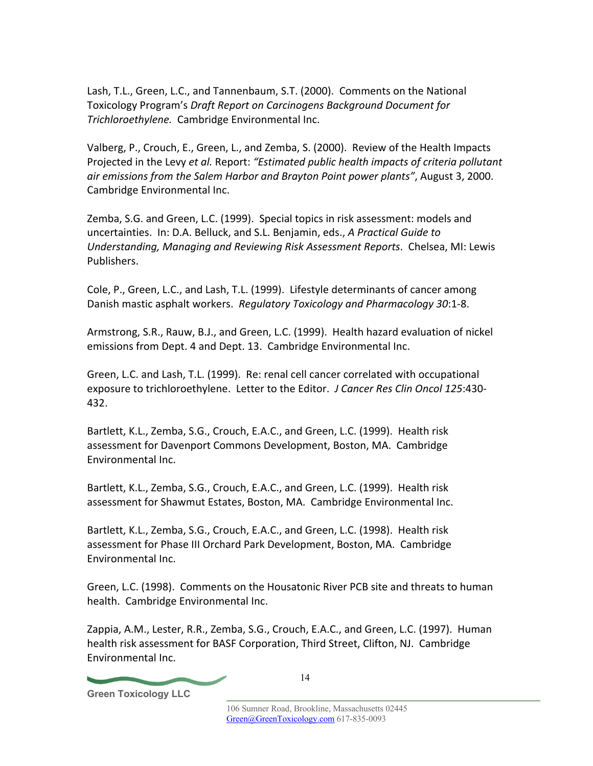Lash, T.L., Green, L.C., and Tannenbaum, S.T. (2000). Comments on the National Toxicology Program's *Draft Report on Carcinogens Background Document for Trichloroethylene.* Cambridge Environmental Inc.

Valberg, P., Crouch, E., Green, L., and Zemba, S. (2000). Review of the Health Impacts Projected in the Levy *et al.* Report: *"Estimated public health impacts of criteria pollutant air emissions from the Salem Harbor and Brayton Point power plants"*, August 3, 2000. Cambridge Environmental Inc.

Zemba, S.G. and Green, L.C. (1999). Special topics in risk assessment: models and uncertainties. In: D.A. Belluck, and S.L. Benjamin, eds., *A Practical Guide to Understanding, Managing and Reviewing Risk Assessment Reports*. Chelsea, MI: Lewis Publishers.

Cole, P., Green, L.C., and Lash, T.L. (1999). Lifestyle determinants of cancer among Danish mastic asphalt workers. *Regulatory Toxicology and Pharmacology 30*:1-8.

Armstrong, S.R., Rauw, B.J., and Green, L.C. (1999). Health hazard evaluation of nickel emissions from Dept. 4 and Dept. 13. Cambridge Environmental Inc.

Green, L.C. and Lash, T.L. (1999). Re: renal cell cancer correlated with occupational exposure to trichloroethylene. Letter to the Editor. *J Cancer Res Clin Oncol 125*:430- 432.

Bartlett, K.L., Zemba, S.G., Crouch, E.A.C., and Green, L.C. (1999). Health risk assessment for Davenport Commons Development, Boston, MA. Cambridge Environmental Inc.

Bartlett, K.L., Zemba, S.G., Crouch, E.A.C., and Green, L.C. (1999). Health risk assessment for Shawmut Estates, Boston, MA. Cambridge Environmental Inc.

Bartlett, K.L., Zemba, S.G., Crouch, E.A.C., and Green, L.C. (1998). Health risk assessment for Phase III Orchard Park Development, Boston, MA. Cambridge Environmental Inc.

Green, L.C. (1998). Comments on the Housatonic River PCB site and threats to human health. Cambridge Environmental Inc.

Zappia, A.M., Lester, R.R., Zemba, S.G., Crouch, E.A.C., and Green, L.C. (1997). Human health risk assessment for BASF Corporation, Third Street, Clifton, NJ. Cambridge Environmental Inc.

**Green Toxicology LLC**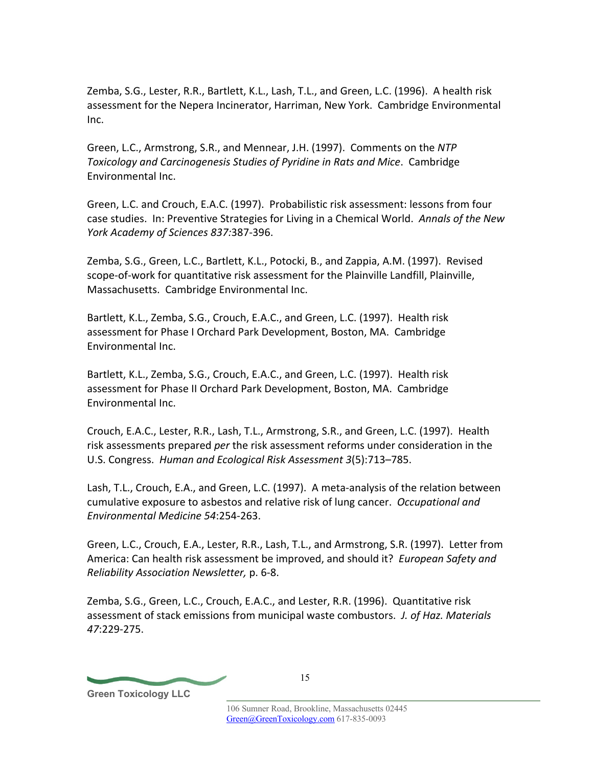Zemba, S.G., Lester, R.R., Bartlett, K.L., Lash, T.L., and Green, L.C. (1996). A health risk assessment for the Nepera Incinerator, Harriman, New York. Cambridge Environmental Inc.

Green, L.C., Armstrong, S.R., and Mennear, J.H. (1997). Comments on the *NTP Toxicology and Carcinogenesis Studies of Pyridine in Rats and Mice*. Cambridge Environmental Inc.

Green, L.C. and Crouch, E.A.C. (1997). Probabilistic risk assessment: lessons from four case studies. In: Preventive Strategies for Living in a Chemical World. *Annals of the New York Academy of Sciences 837:*387-396.

Zemba, S.G., Green, L.C., Bartlett, K.L., Potocki, B., and Zappia, A.M. (1997). Revised scope-of-work for quantitative risk assessment for the Plainville Landfill, Plainville, Massachusetts. Cambridge Environmental Inc.

Bartlett, K.L., Zemba, S.G., Crouch, E.A.C., and Green, L.C. (1997). Health risk assessment for Phase I Orchard Park Development, Boston, MA. Cambridge Environmental Inc.

Bartlett, K.L., Zemba, S.G., Crouch, E.A.C., and Green, L.C. (1997). Health risk assessment for Phase II Orchard Park Development, Boston, MA. Cambridge Environmental Inc.

Crouch, E.A.C., Lester, R.R., Lash, T.L., Armstrong, S.R., and Green, L.C. (1997). Health risk assessments prepared *per* the risk assessment reforms under consideration in the U.S. Congress. *Human and Ecological Risk Assessment 3*(5):713–785.

Lash, T.L., Crouch, E.A., and Green, L.C. (1997). A meta-analysis of the relation between cumulative exposure to asbestos and relative risk of lung cancer. *Occupational and Environmental Medicine 54*:254-263.

Green, L.C., Crouch, E.A., Lester, R.R., Lash, T.L., and Armstrong, S.R. (1997). Letter from America: Can health risk assessment be improved, and should it? *European Safety and Reliability Association Newsletter,* p. 6-8.

Zemba, S.G., Green, L.C., Crouch, E.A.C., and Lester, R.R. (1996). Quantitative risk assessment of stack emissions from municipal waste combustors. *J. of Haz. Materials 47*:229-275.

**Green Toxicology LLC**

15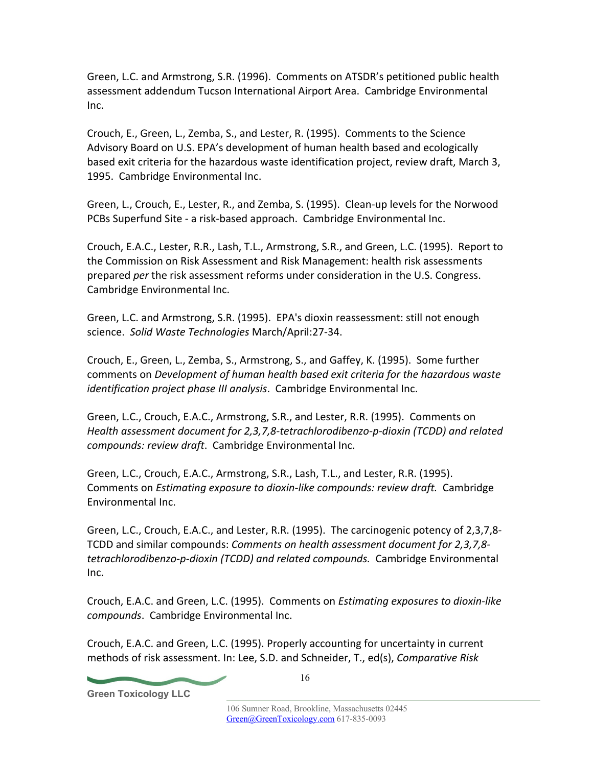Green, L.C. and Armstrong, S.R. (1996). Comments on ATSDR's petitioned public health assessment addendum Tucson International Airport Area. Cambridge Environmental Inc.

Crouch, E., Green, L., Zemba, S., and Lester, R. (1995). Comments to the Science Advisory Board on U.S. EPA's development of human health based and ecologically based exit criteria for the hazardous waste identification project, review draft, March 3, 1995. Cambridge Environmental Inc.

Green, L., Crouch, E., Lester, R., and Zemba, S. (1995). Clean-up levels for the Norwood PCBs Superfund Site - a risk-based approach. Cambridge Environmental Inc.

Crouch, E.A.C., Lester, R.R., Lash, T.L., Armstrong, S.R., and Green, L.C. (1995). Report to the Commission on Risk Assessment and Risk Management: health risk assessments prepared *per* the risk assessment reforms under consideration in the U.S. Congress. Cambridge Environmental Inc.

Green, L.C. and Armstrong, S.R. (1995). EPA's dioxin reassessment: still not enough science. *Solid Waste Technologies* March/April:27-34.

Crouch, E., Green, L., Zemba, S., Armstrong, S., and Gaffey, K. (1995). Some further comments on *Development of human health based exit criteria for the hazardous waste identification project phase III analysis*. Cambridge Environmental Inc.

Green, L.C., Crouch, E.A.C., Armstrong, S.R., and Lester, R.R. (1995). Comments on *Health assessment document for 2,3,7,8-tetrachlorodibenzo-p-dioxin (TCDD) and related compounds: review draft*. Cambridge Environmental Inc.

Green, L.C., Crouch, E.A.C., Armstrong, S.R., Lash, T.L., and Lester, R.R. (1995). Comments on *Estimating exposure to dioxin-like compounds: review draft.* Cambridge Environmental Inc.

Green, L.C., Crouch, E.A.C., and Lester, R.R. (1995). The carcinogenic potency of 2,3,7,8- TCDD and similar compounds: *Comments on health assessment document for 2,3,7,8 tetrachlorodibenzo-p-dioxin (TCDD) and related compounds.* Cambridge Environmental Inc.

Crouch, E.A.C. and Green, L.C. (1995). Comments on *Estimating exposures to dioxin-like compounds*. Cambridge Environmental Inc.

Crouch, E.A.C. and Green, L.C. (1995). Properly accounting for uncertainty in current methods of risk assessment. In: Lee, S.D. and Schneider, T., ed(s), *Comparative Risk* 

**Green Toxicology LLC**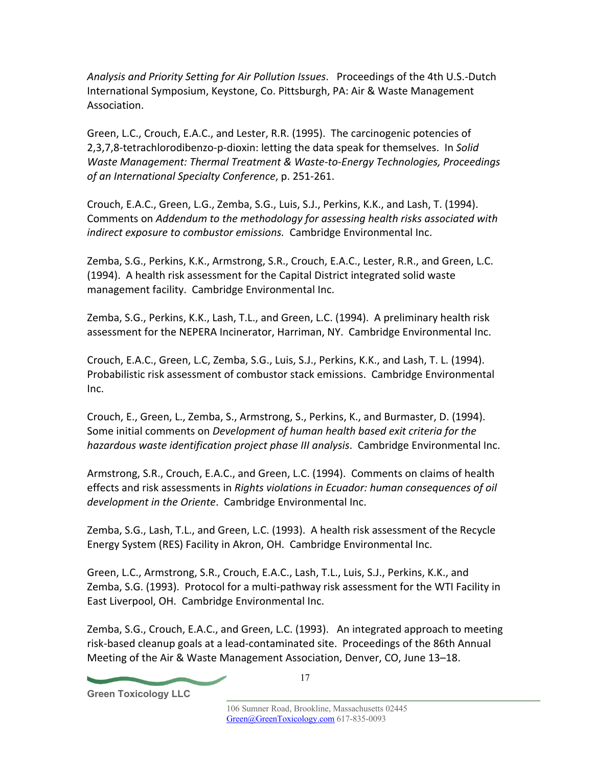*Analysis and Priority Setting for Air Pollution Issues*. Proceedings of the 4th U.S.-Dutch International Symposium, Keystone, Co. Pittsburgh, PA: Air & Waste Management Association.

Green, L.C., Crouch, E.A.C., and Lester, R.R. (1995). The carcinogenic potencies of 2,3,7,8-tetrachlorodibenzo-p-dioxin: letting the data speak for themselves. In *Solid Waste Management: Thermal Treatment & Waste-to-Energy Technologies, Proceedings of an International Specialty Conference*, p. 251-261.

Crouch, E.A.C., Green, L.G., Zemba, S.G., Luis, S.J., Perkins, K.K., and Lash, T. (1994). Comments on *Addendum to the methodology for assessing health risks associated with indirect exposure to combustor emissions.* Cambridge Environmental Inc.

Zemba, S.G., Perkins, K.K., Armstrong, S.R., Crouch, E.A.C., Lester, R.R., and Green, L.C. (1994). A health risk assessment for the Capital District integrated solid waste management facility. Cambridge Environmental Inc.

Zemba, S.G., Perkins, K.K., Lash, T.L., and Green, L.C. (1994). A preliminary health risk assessment for the NEPERA Incinerator, Harriman, NY. Cambridge Environmental Inc.

Crouch, E.A.C., Green, L.C, Zemba, S.G., Luis, S.J., Perkins, K.K., and Lash, T. L. (1994). Probabilistic risk assessment of combustor stack emissions. Cambridge Environmental Inc.

Crouch, E., Green, L., Zemba, S., Armstrong, S., Perkins, K., and Burmaster, D. (1994). Some initial comments on *Development of human health based exit criteria for the hazardous waste identification project phase III analysis*. Cambridge Environmental Inc.

Armstrong, S.R., Crouch, E.A.C., and Green, L.C. (1994). Comments on claims of health effects and risk assessments in *Rights violations in Ecuador: human consequences of oil development in the Oriente*. Cambridge Environmental Inc.

Zemba, S.G., Lash, T.L., and Green, L.C. (1993). A health risk assessment of the Recycle Energy System (RES) Facility in Akron, OH. Cambridge Environmental Inc.

Green, L.C., Armstrong, S.R., Crouch, E.A.C., Lash, T.L., Luis, S.J., Perkins, K.K., and Zemba, S.G. (1993). Protocol for a multi-pathway risk assessment for the WTI Facility in East Liverpool, OH. Cambridge Environmental Inc.

Zemba, S.G., Crouch, E.A.C., and Green, L.C. (1993). An integrated approach to meeting risk-based cleanup goals at a lead-contaminated site. Proceedings of the 86th Annual Meeting of the Air & Waste Management Association, Denver, CO, June 13–18.

**Green Toxicology LLC**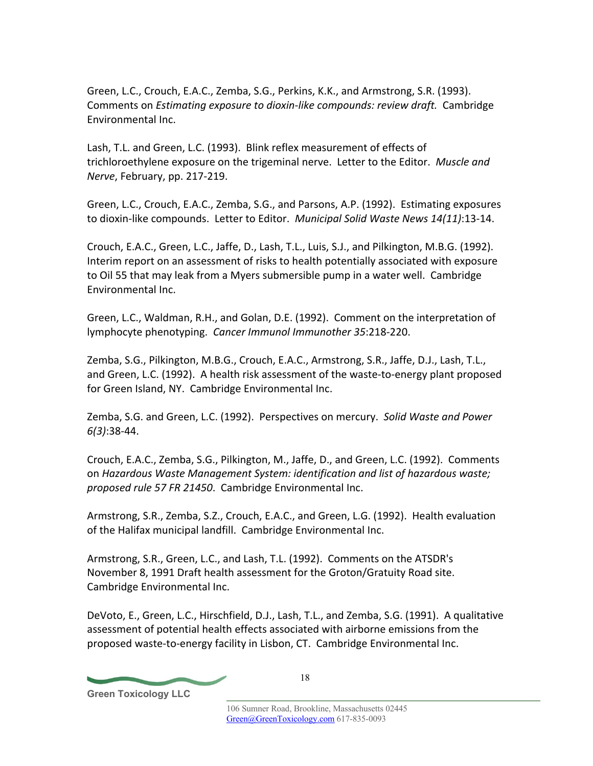Green, L.C., Crouch, E.A.C., Zemba, S.G., Perkins, K.K., and Armstrong, S.R. (1993). Comments on *Estimating exposure to dioxin-like compounds: review draft.* Cambridge Environmental Inc.

Lash, T.L. and Green, L.C. (1993). Blink reflex measurement of effects of trichloroethylene exposure on the trigeminal nerve. Letter to the Editor. *Muscle and Nerve*, February, pp. 217-219.

Green, L.C., Crouch, E.A.C., Zemba, S.G., and Parsons, A.P. (1992). Estimating exposures to dioxin-like compounds. Letter to Editor. *Municipal Solid Waste News 14(11)*:13-14.

Crouch, E.A.C., Green, L.C., Jaffe, D., Lash, T.L., Luis, S.J., and Pilkington, M.B.G. (1992). Interim report on an assessment of risks to health potentially associated with exposure to Oil 55 that may leak from a Myers submersible pump in a water well. Cambridge Environmental Inc.

Green, L.C., Waldman, R.H., and Golan, D.E. (1992). Comment on the interpretation of lymphocyte phenotyping. *Cancer Immunol Immunother 35*:218-220.

Zemba, S.G., Pilkington, M.B.G., Crouch, E.A.C., Armstrong, S.R., Jaffe, D.J., Lash, T.L., and Green, L.C. (1992). A health risk assessment of the waste-to-energy plant proposed for Green Island, NY. Cambridge Environmental Inc.

Zemba, S.G. and Green, L.C. (1992). Perspectives on mercury. *Solid Waste and Power 6(3)*:38-44.

Crouch, E.A.C., Zemba, S.G., Pilkington, M., Jaffe, D., and Green, L.C. (1992). Comments on *Hazardous Waste Management System: identification and list of hazardous waste; proposed rule 57 FR 21450*. Cambridge Environmental Inc.

Armstrong, S.R., Zemba, S.Z., Crouch, E.A.C., and Green, L.G. (1992). Health evaluation of the Halifax municipal landfill. Cambridge Environmental Inc.

Armstrong, S.R., Green, L.C., and Lash, T.L. (1992). Comments on the ATSDR's November 8, 1991 Draft health assessment for the Groton/Gratuity Road site. Cambridge Environmental Inc.

DeVoto, E., Green, L.C., Hirschfield, D.J., Lash, T.L., and Zemba, S.G. (1991). A qualitative assessment of potential health effects associated with airborne emissions from the proposed waste-to-energy facility in Lisbon, CT. Cambridge Environmental Inc.

**Green Toxicology LLC**

18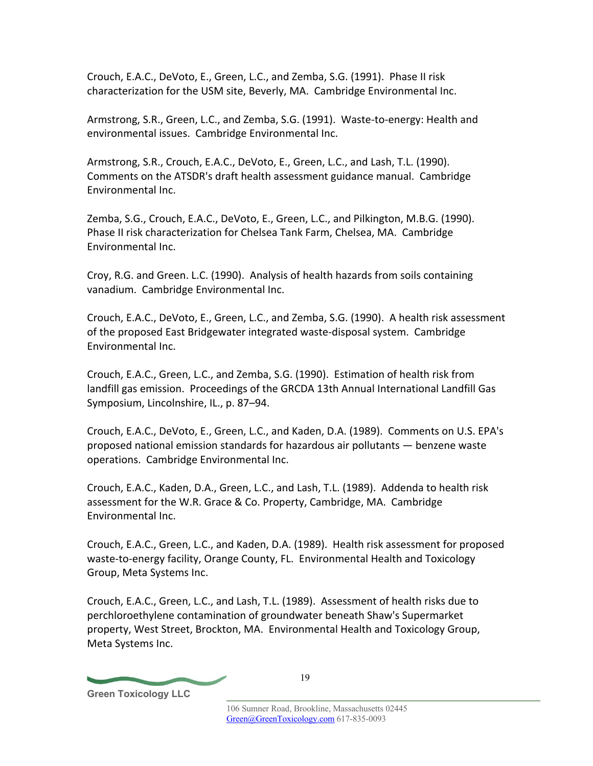Crouch, E.A.C., DeVoto, E., Green, L.C., and Zemba, S.G. (1991). Phase II risk characterization for the USM site, Beverly, MA. Cambridge Environmental Inc.

Armstrong, S.R., Green, L.C., and Zemba, S.G. (1991). Waste-to-energy: Health and environmental issues. Cambridge Environmental Inc.

Armstrong, S.R., Crouch, E.A.C., DeVoto, E., Green, L.C., and Lash, T.L. (1990). Comments on the ATSDR's draft health assessment guidance manual. Cambridge Environmental Inc.

Zemba, S.G., Crouch, E.A.C., DeVoto, E., Green, L.C., and Pilkington, M.B.G. (1990). Phase II risk characterization for Chelsea Tank Farm, Chelsea, MA. Cambridge Environmental Inc.

Croy, R.G. and Green. L.C. (1990). Analysis of health hazards from soils containing vanadium. Cambridge Environmental Inc.

Crouch, E.A.C., DeVoto, E., Green, L.C., and Zemba, S.G. (1990). A health risk assessment of the proposed East Bridgewater integrated waste-disposal system. Cambridge Environmental Inc.

Crouch, E.A.C., Green, L.C., and Zemba, S.G. (1990). Estimation of health risk from landfill gas emission. Proceedings of the GRCDA 13th Annual International Landfill Gas Symposium, Lincolnshire, IL., p. 87–94.

Crouch, E.A.C., DeVoto, E., Green, L.C., and Kaden, D.A. (1989). Comments on U.S. EPA's proposed national emission standards for hazardous air pollutants — benzene waste operations. Cambridge Environmental Inc.

Crouch, E.A.C., Kaden, D.A., Green, L.C., and Lash, T.L. (1989). Addenda to health risk assessment for the W.R. Grace & Co. Property, Cambridge, MA. Cambridge Environmental Inc.

Crouch, E.A.C., Green, L.C., and Kaden, D.A. (1989). Health risk assessment for proposed waste-to-energy facility, Orange County, FL. Environmental Health and Toxicology Group, Meta Systems Inc.

Crouch, E.A.C., Green, L.C., and Lash, T.L. (1989). Assessment of health risks due to perchloroethylene contamination of groundwater beneath Shaw's Supermarket property, West Street, Brockton, MA. Environmental Health and Toxicology Group, Meta Systems Inc.

**Green Toxicology LLC**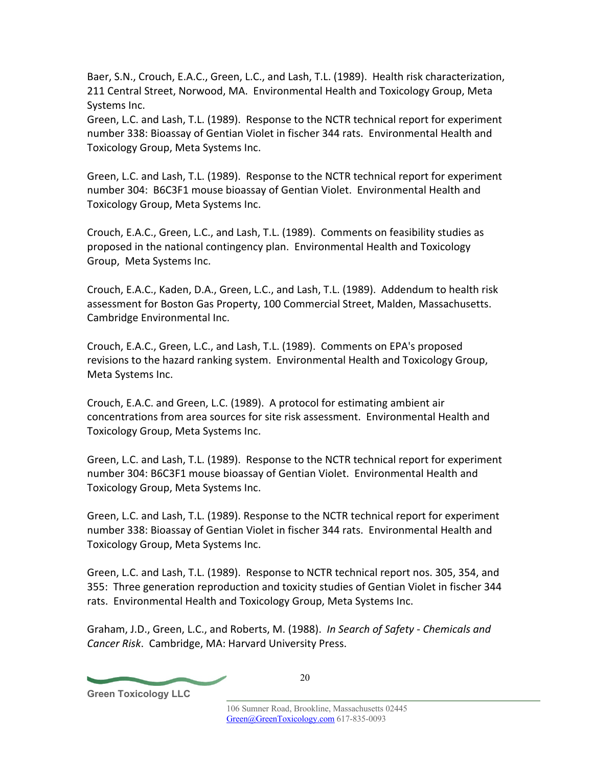Baer, S.N., Crouch, E.A.C., Green, L.C., and Lash, T.L. (1989). Health risk characterization, 211 Central Street, Norwood, MA. Environmental Health and Toxicology Group, Meta Systems Inc.

Green, L.C. and Lash, T.L. (1989). Response to the NCTR technical report for experiment number 338: Bioassay of Gentian Violet in fischer 344 rats. Environmental Health and Toxicology Group, Meta Systems Inc.

Green, L.C. and Lash, T.L. (1989). Response to the NCTR technical report for experiment number 304: B6C3F1 mouse bioassay of Gentian Violet. Environmental Health and Toxicology Group, Meta Systems Inc.

Crouch, E.A.C., Green, L.C., and Lash, T.L. (1989). Comments on feasibility studies as proposed in the national contingency plan. Environmental Health and Toxicology Group, Meta Systems Inc.

Crouch, E.A.C., Kaden, D.A., Green, L.C., and Lash, T.L. (1989). Addendum to health risk assessment for Boston Gas Property, 100 Commercial Street, Malden, Massachusetts. Cambridge Environmental Inc.

Crouch, E.A.C., Green, L.C., and Lash, T.L. (1989). Comments on EPA's proposed revisions to the hazard ranking system. Environmental Health and Toxicology Group, Meta Systems Inc.

Crouch, E.A.C. and Green, L.C. (1989). A protocol for estimating ambient air concentrations from area sources for site risk assessment. Environmental Health and Toxicology Group, Meta Systems Inc.

Green, L.C. and Lash, T.L. (1989). Response to the NCTR technical report for experiment number 304: B6C3F1 mouse bioassay of Gentian Violet. Environmental Health and Toxicology Group, Meta Systems Inc.

Green, L.C. and Lash, T.L. (1989). Response to the NCTR technical report for experiment number 338: Bioassay of Gentian Violet in fischer 344 rats. Environmental Health and Toxicology Group, Meta Systems Inc.

Green, L.C. and Lash, T.L. (1989). Response to NCTR technical report nos. 305, 354, and 355: Three generation reproduction and toxicity studies of Gentian Violet in fischer 344 rats. Environmental Health and Toxicology Group, Meta Systems Inc.

Graham, J.D., Green, L.C., and Roberts, M. (1988). *In Search of Safety - Chemicals and Cancer Risk*. Cambridge, MA: Harvard University Press.

**Green Toxicology LLC**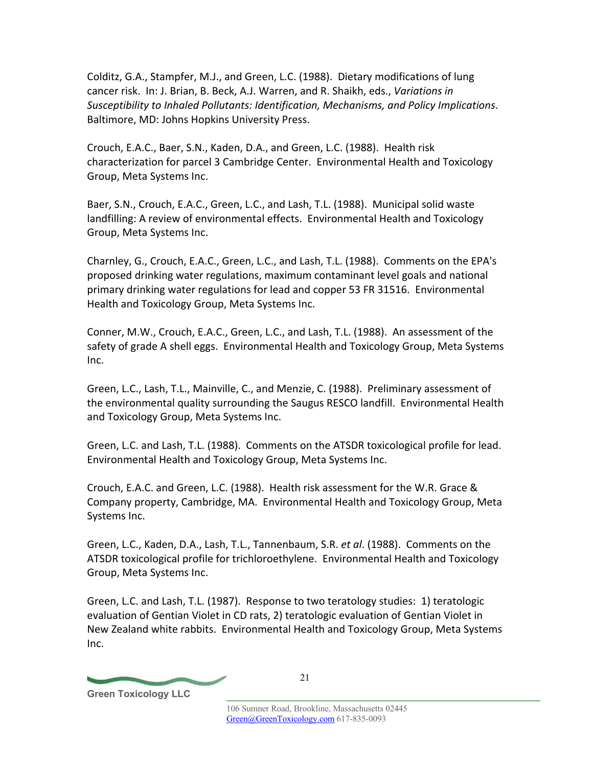Colditz, G.A., Stampfer, M.J., and Green, L.C. (1988). Dietary modifications of lung cancer risk. In: J. Brian, B. Beck, A.J. Warren, and R. Shaikh, eds., *Variations in Susceptibility to Inhaled Pollutants: Identification, Mechanisms, and Policy Implications*. Baltimore, MD: Johns Hopkins University Press.

Crouch, E.A.C., Baer, S.N., Kaden, D.A., and Green, L.C. (1988). Health risk characterization for parcel 3 Cambridge Center. Environmental Health and Toxicology Group, Meta Systems Inc.

Baer, S.N., Crouch, E.A.C., Green, L.C., and Lash, T.L. (1988). Municipal solid waste landfilling: A review of environmental effects. Environmental Health and Toxicology Group, Meta Systems Inc.

Charnley, G., Crouch, E.A.C., Green, L.C., and Lash, T.L. (1988). Comments on the EPA's proposed drinking water regulations, maximum contaminant level goals and national primary drinking water regulations for lead and copper 53 FR 31516. Environmental Health and Toxicology Group, Meta Systems Inc.

Conner, M.W., Crouch, E.A.C., Green, L.C., and Lash, T.L. (1988). An assessment of the safety of grade A shell eggs. Environmental Health and Toxicology Group, Meta Systems Inc.

Green, L.C., Lash, T.L., Mainville, C., and Menzie, C. (1988). Preliminary assessment of the environmental quality surrounding the Saugus RESCO landfill. Environmental Health and Toxicology Group, Meta Systems Inc.

Green, L.C. and Lash, T.L. (1988). Comments on the ATSDR toxicological profile for lead. Environmental Health and Toxicology Group, Meta Systems Inc.

Crouch, E.A.C. and Green, L.C. (1988). Health risk assessment for the W.R. Grace & Company property, Cambridge, MA. Environmental Health and Toxicology Group, Meta Systems Inc.

Green, L.C., Kaden, D.A., Lash, T.L., Tannenbaum, S.R. *et al*. (1988). Comments on the ATSDR toxicological profile for trichloroethylene. Environmental Health and Toxicology Group, Meta Systems Inc.

Green, L.C. and Lash, T.L. (1987). Response to two teratology studies: 1) teratologic evaluation of Gentian Violet in CD rats, 2) teratologic evaluation of Gentian Violet in New Zealand white rabbits. Environmental Health and Toxicology Group, Meta Systems Inc.

**Green Toxicology LLC**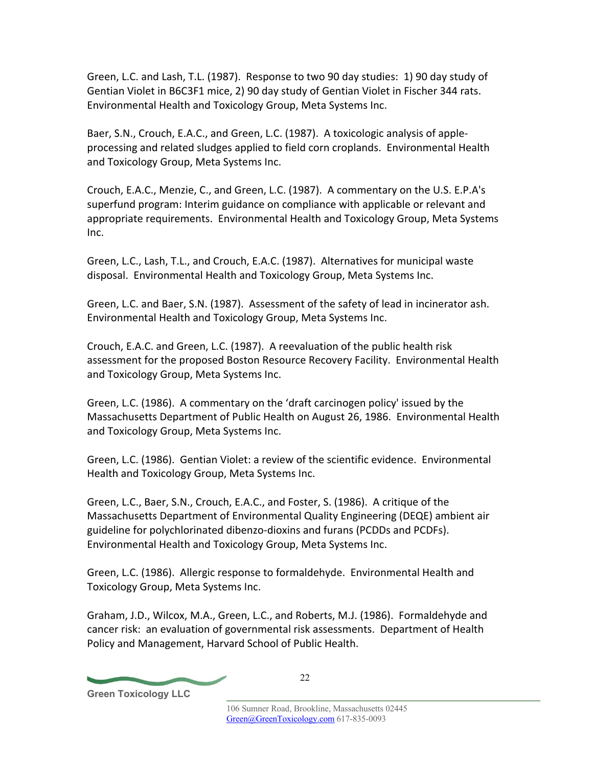Green, L.C. and Lash, T.L. (1987). Response to two 90 day studies: 1) 90 day study of Gentian Violet in B6C3F1 mice, 2) 90 day study of Gentian Violet in Fischer 344 rats. Environmental Health and Toxicology Group, Meta Systems Inc.

Baer, S.N., Crouch, E.A.C., and Green, L.C. (1987). A toxicologic analysis of appleprocessing and related sludges applied to field corn croplands. Environmental Health and Toxicology Group, Meta Systems Inc.

Crouch, E.A.C., Menzie, C., and Green, L.C. (1987). A commentary on the U.S. E.P.A's superfund program: Interim guidance on compliance with applicable or relevant and appropriate requirements. Environmental Health and Toxicology Group, Meta Systems Inc.

Green, L.C., Lash, T.L., and Crouch, E.A.C. (1987). Alternatives for municipal waste disposal. Environmental Health and Toxicology Group, Meta Systems Inc.

Green, L.C. and Baer, S.N. (1987). Assessment of the safety of lead in incinerator ash. Environmental Health and Toxicology Group, Meta Systems Inc.

Crouch, E.A.C. and Green, L.C. (1987). A reevaluation of the public health risk assessment for the proposed Boston Resource Recovery Facility. Environmental Health and Toxicology Group, Meta Systems Inc.

Green, L.C. (1986). A commentary on the 'draft carcinogen policy' issued by the Massachusetts Department of Public Health on August 26, 1986. Environmental Health and Toxicology Group, Meta Systems Inc.

Green, L.C. (1986). Gentian Violet: a review of the scientific evidence. Environmental Health and Toxicology Group, Meta Systems Inc.

Green, L.C., Baer, S.N., Crouch, E.A.C., and Foster, S. (1986). A critique of the Massachusetts Department of Environmental Quality Engineering (DEQE) ambient air guideline for polychlorinated dibenzo-dioxins and furans (PCDDs and PCDFs). Environmental Health and Toxicology Group, Meta Systems Inc.

Green, L.C. (1986). Allergic response to formaldehyde. Environmental Health and Toxicology Group, Meta Systems Inc.

Graham, J.D., Wilcox, M.A., Green, L.C., and Roberts, M.J. (1986). Formaldehyde and cancer risk: an evaluation of governmental risk assessments. Department of Health Policy and Management, Harvard School of Public Health.

**Green Toxicology LLC**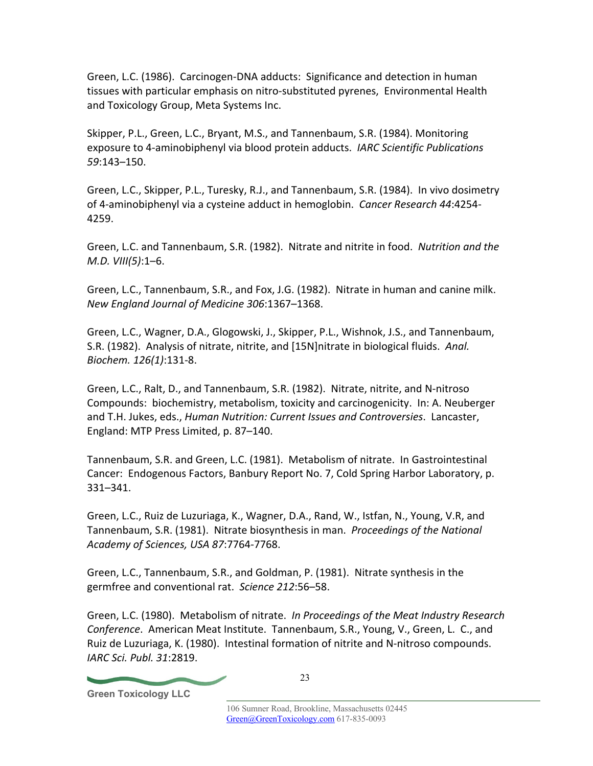Green, L.C. (1986). Carcinogen-DNA adducts: Significance and detection in human tissues with particular emphasis on nitro-substituted pyrenes, Environmental Health and Toxicology Group, Meta Systems Inc.

Skipper, P.L., Green, L.C., Bryant, M.S., and Tannenbaum, S.R. (1984). Monitoring exposure to 4-aminobiphenyl via blood protein adducts. *IARC Scientific Publications 59*:143–150.

Green, L.C., Skipper, P.L., Turesky, R.J., and Tannenbaum, S.R. (1984). In vivo dosimetry of 4-aminobiphenyl via a cysteine adduct in hemoglobin. *Cancer Research 44*:4254- 4259.

Green, L.C. and Tannenbaum, S.R. (1982). Nitrate and nitrite in food. *Nutrition and the M.D. VIII(5)*:1–6.

Green, L.C., Tannenbaum, S.R., and Fox, J.G. (1982). Nitrate in human and canine milk. *New England Journal of Medicine 306*:1367–1368.

Green, L.C., Wagner, D.A., Glogowski, J., Skipper, P.L., Wishnok, J.S., and Tannenbaum, S.R. (1982). Analysis of nitrate, nitrite, and [15N]nitrate in biological fluids. *Anal. Biochem. 126(1)*:131-8.

Green, L.C., Ralt, D., and Tannenbaum, S.R. (1982). Nitrate, nitrite, and N-nitroso Compounds: biochemistry, metabolism, toxicity and carcinogenicity. In: A. Neuberger and T.H. Jukes, eds., *Human Nutrition: Current Issues and Controversies*. Lancaster, England: MTP Press Limited, p. 87–140.

Tannenbaum, S.R. and Green, L.C. (1981). Metabolism of nitrate. In Gastrointestinal Cancer: Endogenous Factors, Banbury Report No. 7, Cold Spring Harbor Laboratory, p. 331–341.

Green, L.C., Ruiz de Luzuriaga, K., Wagner, D.A., Rand, W., Istfan, N., Young, V.R, and Tannenbaum, S.R. (1981). Nitrate biosynthesis in man. *Proceedings of the National Academy of Sciences, USA 87*:7764-7768.

Green, L.C., Tannenbaum, S.R., and Goldman, P. (1981). Nitrate synthesis in the germfree and conventional rat. *Science 212*:56–58.

Green, L.C. (1980). Metabolism of nitrate. *In Proceedings of the Meat Industry Research Conference*. American Meat Institute. Tannenbaum, S.R., Young, V., Green, L. C., and Ruiz de Luzuriaga, K. (1980). Intestinal formation of nitrite and N-nitroso compounds. *IARC Sci. Publ. 31*:2819.

**Green Toxicology LLC**